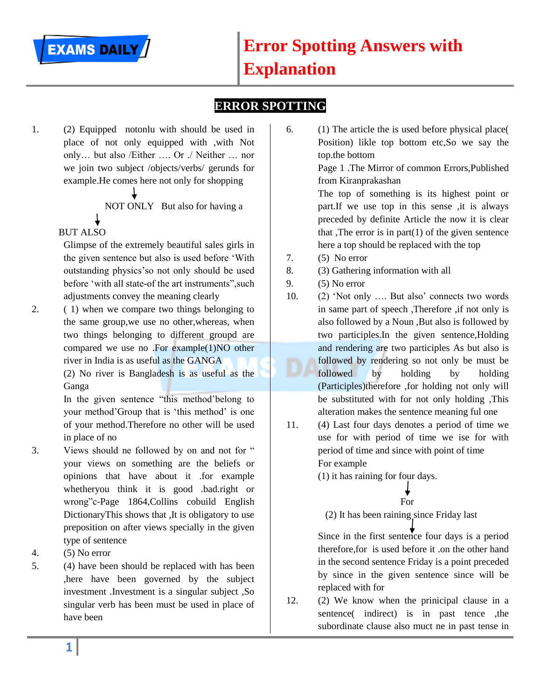

### **ERROR SPOTTING**

1. (2) Equipped notonlu with should be used in place of not only equipped with ,with Not only… but also /Either …. Or ./ Neither … nor we join two subject /objects/verbs/ gerunds for example.He comes here not only for shopping

NOT ONLY But also for having a

## BUT ALSO

Glimpse of the extremely beautiful sales girls in the given sentence but also is used before "With outstanding physics"so not only should be used before "with all state-of the art instruments",such adjustments convey the meaning clearly

2. ( 1) when we compare two things belonging to the same group,we use no other,whereas, when two things belonging to different groupd are compared we use no .For example $(1)NO$  other river in India is as useful as the GANGA

(2) No river is Bangladesh is as useful as the Ganga

In the given sentence "this method"belong to your method"Group that is "this method" is one of your method.Therefore no other will be used in place of no

- 3. Views should ne followed by on and not for " your views on something are the beliefs or opinions that have about it .for example whetheryou think it is good .bad.right or wrong"c-Page 1864,Collins cobuild English DictionaryThis shows that ,It is obligatory to use preposition on after views specially in the given type of sentence
- 4. (5) No error
- 5. (4) have been should be replaced with has been ,here have been governed by the subject investment .Investment is a singular subject ,So singular verb has been must be used in place of have been

6. (1) The article the is used before physical place( Position) likle top bottom etc,So we say the top.the bottom

Page 1 .The Mirror of common Errors,Published from Kiranprakashan

The top of something is its highest point or part.If we use top in this sense ,it is always preceded by definite Article the now it is clear that ,The error is in part $(1)$  of the given sentence here a top should be replaced with the top

- 7. (5) No error
- 8. (3) Gathering information with all
- 9. (5) No error
- 10. (2) "Not only …. But also" connects two words in same part of speech ,Therefore ,if not only is also followed by a Noun ,But also is followed by two participles.In the given sentence,Holding and rendering are two participles As but also is followed by rendering so not only be must be followed by holding by holding (Participles)therefore ,for holding not only will be substituted with for not only holding ,This alteration makes the sentence meaning ful one
- 11. (4) Last four days denotes a period of time we use for with period of time we ise for with period of time and since with point of time For example

(1) it has raining for four days.

### **For**

(2) It has been raining since Friday last

Since in the first sentence four days is a period therefore,for is used before it .on the other hand in the second sentence Friday is a point preceded by since in the given sentence since will be replaced with for

12. (2) We know when the prinicipal clause in a sentence( indirect) is in past tence the subordinate clause also muct ne in past tense in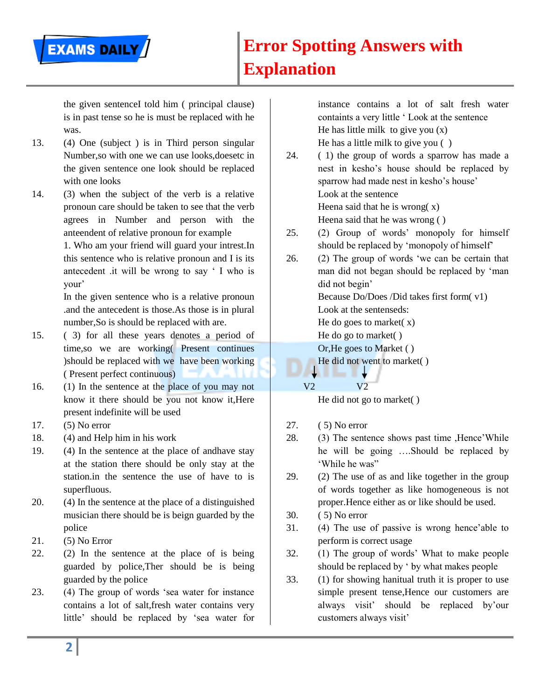the given sentenceI told him ( principal clause) is in past tense so he is must be replaced with he was.

13. (4) One (subject ) is in Third person singular Number,so with one we can use looks,doesetc in the given sentence one look should be replaced with one looks

**EXAMS DAILY** 

14. (3) when the subject of the verb is a relative pronoun care should be taken to see that the verb agrees in Number and person with the anteendent of relative pronoun for example

> 1. Who am your friend will guard your intrest.In this sentence who is relative pronoun and I is its antecedent .it will be wrong to say " I who is your"

> In the given sentence who is a relative pronoun .and the antecedent is those.As those is in plural number,So is should be replaced with are.

- 15. ( 3) for all these years denotes a period of time,so we are working( Present continues )should be replaced with we have been working ( Present perfect continuous)
- 16. (1) In the sentence at the place of you may not know it there should be you not know it,Here present indefinite will be used
- 17. (5) No error
- 18. (4) and Help him in his work
- 19. (4) In the sentence at the place of andhave stay at the station there should be only stay at the station.in the sentence the use of have to is superfluous.
- 20. (4) In the sentence at the place of a distinguished musician there should be is beign guarded by the police
- 21. (5) No Error
- 22. (2) In the sentence at the place of is being guarded by police,Ther should be is being guarded by the police
- 23. (4) The group of words "sea water for instance contains a lot of salt,fresh water contains very little" should be replaced by "sea water for

instance contains a lot of salt fresh water containts a very little " Look at the sentence He has little milk to give you  $(x)$ He has a little milk to give you ( )

- 24. ( 1) the group of words a sparrow has made a nest in kesho"s house should be replaced by sparrow had made nest in kesho's house' Look at the sentence Heena said that he is wrong  $(x)$ Heena said that he was wrong ( )
- 25. (2) Group of words" monopoly for himself should be replaced by "monopoly of himself"
- 26. (2) The group of words "we can be certain that man did not began should be replaced by "man did not begin' Because Do/Does /Did takes first form( v1) Look at the sentenseds: He do goes to market $(x)$ He do go to market( ) Or,He goes to Market ( ) He did not went to market( )

### V2 V2

He did not go to market( )

- 27. ( 5) No error
- 28. (3) The sentence shows past time ,Hence"While he will be going ….Should be replaced by "While he was"
- 29. (2) The use of as and like together in the group of words together as like homogeneous is not proper.Hence either as or like should be used.
- 30. ( 5) No error
- 31. (4) The use of passive is wrong hence"able to perform is correct usage
- 32. (1) The group of words" What to make people should be replaced by " by what makes people
- 33. (1) for showing hanitual truth it is proper to use simple present tense,Hence our customers are always visit" should be replaced by"our customers always visit"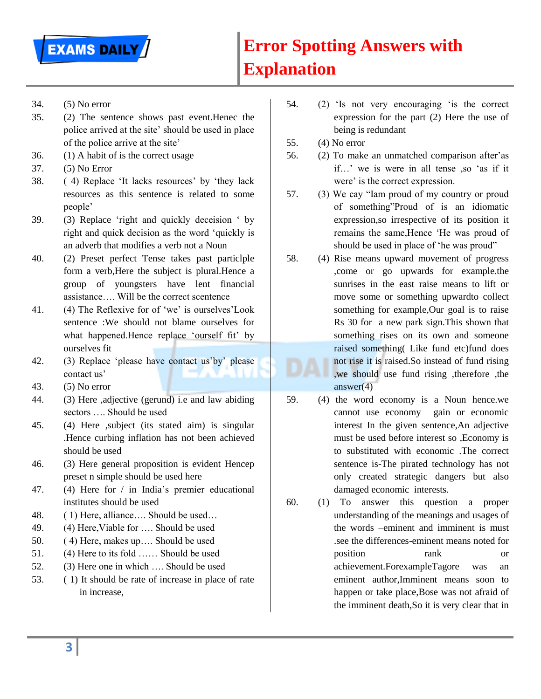

- 34. (5) No error
- 35. (2) The sentence shows past event.Henec the police arrived at the site' should be used in place of the police arrive at the site"
- 36. (1) A habit of is the correct usage
- 37. (5) No Error
- 38. ( 4) Replace "It lacks resources" by "they lack resources as this sentence is related to some people"
- 39. (3) Replace "right and quickly deceision " by right and quick decision as the word "quickly is an adverb that modifies a verb not a Noun
- 40. (2) Preset perfect Tense takes past particlple form a verb,Here the subject is plural.Hence a group of youngsters have lent financial assistance…. Will be the correct scentence
- 41. (4) The Reflexive for of "we" is ourselves"Look sentence :We should not blame ourselves for what happened.Hence replace 'ourself fit' by ourselves fit
- 42. (3) Replace "please have contact us"by" please contact us'
- 43. (5) No error
- 44. (3) Here ,adjective (gerund) i.e and law abiding sectors …. Should be used
- 45. (4) Here ,subject (its stated aim) is singular .Hence curbing inflation has not been achieved should be used
- 46. (3) Here general proposition is evident Hencep preset n simple should be used here
- 47. (4) Here for / in India"s premier educational institutes should be used
- 48. ( 1) Here, alliance…. Should be used…
- 49. (4) Here,Viable for …. Should be used
- 50. ( 4) Here, makes up…. Should be used
- 51. (4) Here to its fold …… Should be used
- 52. (3) Here one in which …. Should be used
- 53. ( 1) It should be rate of increase in place of rate in increase,
- 54. (2) "Is not very encouraging "is the correct expression for the part (2) Here the use of being is redundant
- 55. (4) No error
- 56. (2) To make an unmatched comparison after"as if…" we is were in all tense ,so "as if it were' is the correct expression.
- 57. (3) We cay "Iam proud of my country or proud of something"Proud of is an idiomatic expression,so irrespective of its position it remains the same,Hence "He was proud of should be used in place of "he was proud"
- 58. (4) Rise means upward movement of progress ,come or go upwards for example.the sunrises in the east raise means to lift or move some or something upwardto collect something for example,Our goal is to raise Rs 30 for a new park sign.This shown that something rises on its own and someone raised something( Like fund etc)fund does not rise it is raised.So instead of fund rising ,we should use fund rising ,therefore ,the answer $(4)$
- 59. (4) the word economy is a Noun hence.we cannot use economy gain or economic interest In the given sentence,An adjective must be used before interest so ,Economy is to substituted with economic .The correct sentence is-The pirated technology has not only created strategic dangers but also damaged economic interests.
- 60. (1) To answer this question a proper understanding of the meanings and usages of the words –eminent and imminent is must .see the differences-eminent means noted for position rank or achievement.ForexampleTagore was an eminent author,Imminent means soon to happen or take place,Bose was not afraid of the imminent death,So it is very clear that in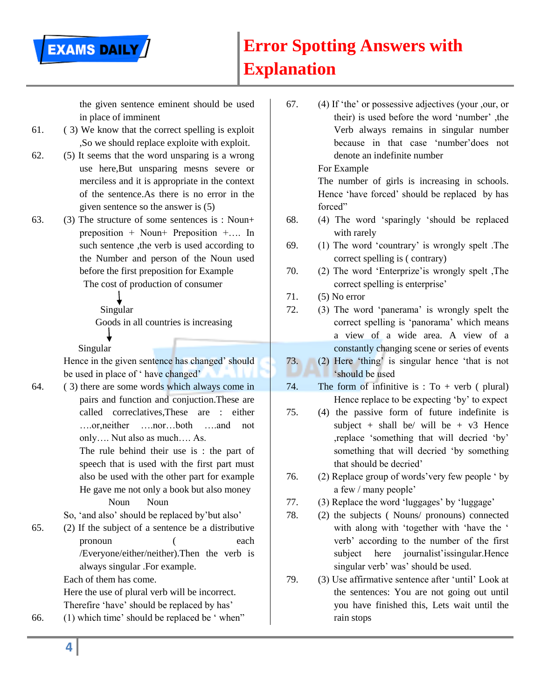the given sentence eminent should be used in place of imminent

61. ( 3) We know that the correct spelling is exploit ,So we should replace exploite with exploit.

**EXAMS DAILY** 

- 62. (5) It seems that the word unsparing is a wrong use here,But unsparing mesns severe or merciless and it is appropriate in the context of the sentence.As there is no error in the given sentence so the answer is (5)
- 63. (3) The structure of some sentences is : Noun+ preposition + Noun+ Preposition +…. In such sentence , the verb is used according to the Number and person of the Noun used before the first preposition for Example

The cost of production of consumer

Singular

Goods in all countries is increasing

Singular

Hence in the given sentence has changed" should be used in place of 'have changed'

64. ( 3) there are some words which always come in pairs and function and conjuction.These are called correclatives,These are : either ….or,neither ….nor…both ….and not only…. Nut also as much…. As.

> The rule behind their use is : the part of speech that is used with the first part must also be used with the other part for example He gave me not only a book but also money

Noun Noun

So, "and also" should be replaced by"but also"

65. (2) If the subject of a sentence be a distributive pronoun ( each /Everyone/either/neither).Then the verb is always singular .For example.

Each of them has come.

Here the use of plural verb will be incorrect. Therefire 'have' should be replaced by has'

66. (1) which time" should be replaced be " when"

67. (4) If "the" or possessive adjectives (your ,our, or their) is used before the word "number" ,the Verb always remains in singular number because in that case "number"does not denote an indefinite number

For Example

The number of girls is increasing in schools. Hence 'have forced' should be replaced by has forced"

- 68. (4) The word "sparingly "should be replaced with rarely
- 69. (1) The word "countrary" is wrongly spelt .The correct spelling is ( contrary)
- 70. (2) The word "Enterprize"is wrongly spelt ,The correct spelling is enterprise'
- 71. (5) No error
- 72. (3) The word "panerama" is wrongly spelt the correct spelling is 'panorama' which means a view of a wide area. A view of a constantly changing scene or series of events
- 73. (2) Here "thing" is singular hence "that is not **Should be used**
- 74. The form of infinitive is :  $To + verb$  ( plural) Hence replace to be expecting 'by' to expect
- 75. (4) the passive form of future indefinite is subject + shall be/ will be +  $v3$  Hence ,replace "something that will decried "by" something that will decried "by something that should be decried"
- 76. (2) Replace group of words"very few people " by a few / many people"
- 77. (3) Replace the word 'luggages' by 'luggage'
- 78. (2) the subjects ( Nouns/ pronouns) connected with along with 'together with 'have the ' verb" according to the number of the first subject here journalist'issingular.Hence singular verb' was' should be used.
- 79. (3) Use affirmative sentence after "until" Look at the sentences: You are not going out until you have finished this, Lets wait until the rain stops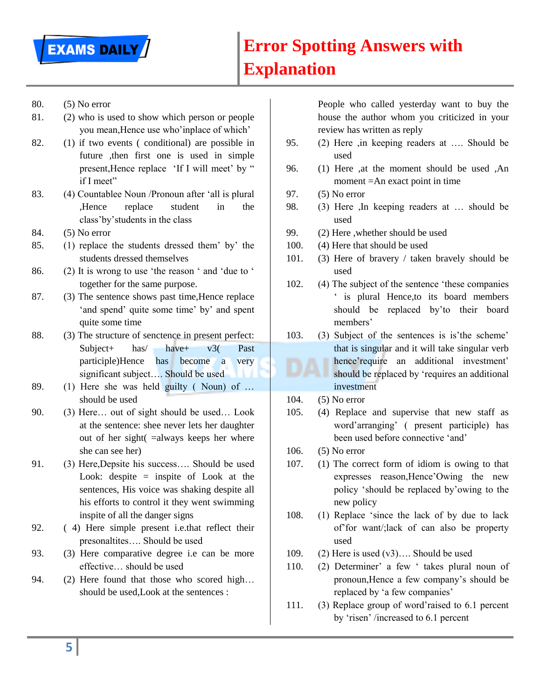

- 80. (5) No error
- 81. (2) who is used to show which person or people you mean,Hence use who"inplace of which"
- 82. (1) if two events ( conditional) are possible in future ,then first one is used in simple present, Hence replace 'If I will meet' by " if I meet"
- 83. (4) Countablee Noun /Pronoun after "all is plural ,Hence replace student in the class"by"students in the class
- 84. (5) No error
- 85. (1) replace the students dressed them" by" the students dressed themselves
- 86. (2) It is wrong to use "the reason " and "due to " together for the same purpose.
- 87. (3) The sentence shows past time,Hence replace 'and spend' quite some time' by' and spent quite some time
- 88. (3) The structure of senctence in present perfect: Subject+ has/ have+ v3( Past participle)Hence has become a very significant subject…. Should be used
- 89. (1) Here she was held guilty ( Noun) of … should be used
- 90. (3) Here… out of sight should be used… Look at the sentence: shee never lets her daughter out of her sight( =always keeps her where she can see her)
- 91. (3) Here,Depsite his success…. Should be used Look: despite  $=$  inspite of Look at the sentences, His voice was shaking despite all his efforts to control it they went swimming inspite of all the danger signs
- 92. ( 4) Here simple present i.e.that reflect their presonaltites…. Should be used
- 93. (3) Here comparative degree i.e can be more effective… should be used
- 94. (2) Here found that those who scored high… should be used,Look at the sentences :

People who called yesterday want to buy the house the author whom you criticized in your review has written as reply

- 95. (2) Here ,in keeping readers at …. Should be used
- 96. (1) Here ,at the moment should be used ,An moment =An exact point in time
- 97. (5) No error
- 98. (3) Here ,In keeping readers at … should be used
- 99. (2) Here ,whether should be used
- 100. (4) Here that should be used
- 101. (3) Here of bravery / taken bravely should be used
- 102. (4) The subject of the sentence "these companies " is plural Hence,to its board members should be replaced by"to their board members'
- 103. (3) Subject of the sentences is is"the scheme" that is singular and it will take singular verb hence'require an additional investment' should be replaced by "requires an additional investment
- 104. (5) No error
- 105. (4) Replace and supervise that new staff as word"arranging" ( present participle) has been used before connective "and"
- 106. (5) No error
- 107. (1) The correct form of idiom is owing to that expresses reason,Hence"Owing the new policy "should be replaced by"owing to the new policy
- 108. (1) Replace "since the lack of by due to lack of"for want/;lack of can also be property used
- 109. (2) Here is used (v3)…. Should be used
- 110. (2) Determiner' a few ' takes plural noun of pronoun,Hence a few company"s should be replaced by 'a few companies'
- 111. (3) Replace group of word"raised to 6.1 percent by "risen" /increased to 6.1 percent